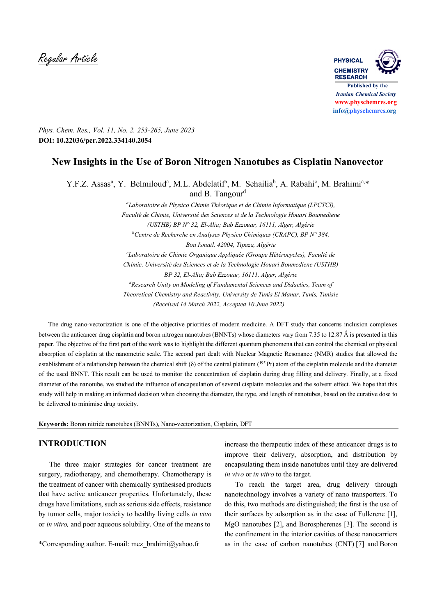Regular Article **PHYSICAL**



*Phys. Chem. Res., Vol. 11, No. 2, 253-265, June 2023* **DOI: 10.22036/pcr.2022.334140.2054**

# **New Insights in the Use of Boron Nitrogen Nanotubes as Cisplatin Nanovector**

Y.F.Z. Assas<sup>a</sup>, Y. Belmiloud<sup>a</sup>, M.L. Abdelatif<sup>a</sup>, M. Sehailia<sup>b</sup>, A. Rabahi<sup>c</sup>, M. Brahimi<sup>a,\*</sup> and B. Tangour<sup>d</sup>

> *<sup>a</sup>Laboratoire de Physico Chimie Théorique et de Chimie Informatique (LPCTCI), Faculté de Chimie, Université des Sciences et de la Technologie Houari Boumediene (USTHB) BP N° 32, El-Alia; Bab Ezzouar, 16111, Alger, Algérie <sup>b</sup>Centre de Recherche en Analyses Physico Chimiques (CRAPC), BP N° 384, Bou Ismail, 42004, Tipaza, Algérie <sup>c</sup>Laboratoire de Chimie Organique Appliquée (Groupe Hétérocycles), Faculté de Chimie, Université des Sciences et de la Technologie Houari Boumediene (USTHB) BP 32, El-Alia; Bab Ezzouar, 16111, Alger, Algérie <sup>d</sup>Research Unity on Modeling of Fundamental Sciences and Didactics, Team of Theoretical Chemistry and Reactivity, University de Tunis El Manar, Tunis, Tunisie (Received 14 March 2022, Accepted 10 June 2022)*

 The drug nano-vectorization is one of the objective priorities of modern medicine. A DFT study that concerns inclusion complexes between the anticancer drug cisplatin and boron nitrogen nanotubes (BNNTs) whose diameters vary from 7.35 to 12.87 Å is presented in this paper. The objective of the first part of the work was to highlight the different quantum phenomena that can control the chemical or physical absorption of cisplatin at the nanometric scale. The second part dealt with Nuclear Magnetic Resonance (NMR) studies that allowed the establishment of a relationship between the chemical shift ( $\delta$ ) of the central platinum ( $^{195}$  Pt) atom of the cisplatin molecule and the diameter of the used BNNT. This result can be used to monitor the concentration of cisplatin during drug filling and delivery. Finally, at a fixed diameter of the nanotube, we studied the influence of encapsulation of several cisplatin molecules and the solvent effect. We hope that this study will help in making an informed decision when choosing the diameter, the type, and length of nanotubes, based on the curative dose to be delivered to minimise drug toxicity.

**Keywords:** Boron nitride nanotubes (BNNTs), Nano-vectorization, Cisplatin, DFT

## **INTRODUCTION**

 The three major strategies for cancer treatment are surgery, radiotherapy, and chemotherapy. Chemotherapy is the treatment of cancer with chemically synthesised products that have active anticancer properties. Unfortunately, these drugs have limitations, such as serious side effects, resistance by tumor cells, major toxicity to healthy living cells *in vivo*  or *in vitro,* and poor aqueous solubility. One of the means to

increase the therapeutic index of these anticancer drugs is to improve their delivery, absorption, and distribution by encapsulating them inside nanotubes until they are delivered *in vivo* or *in vitro* to the target.

 To reach the target area, drug delivery through nanotechnology involves a variety of nano transporters. To do this, two methods are distinguished; the first is the use of their surfaces by adsorption as in the case of Fullerene [1], MgO nanotubes [2], and Borospherenes [3]. The second is the confinement in the interior cavities of these nanocarriers as in the case of carbon nanotubes (CNT) [7] and Boron

<sup>\*</sup>Corresponding author. E-mail: mez\_brahimi@yahoo.fr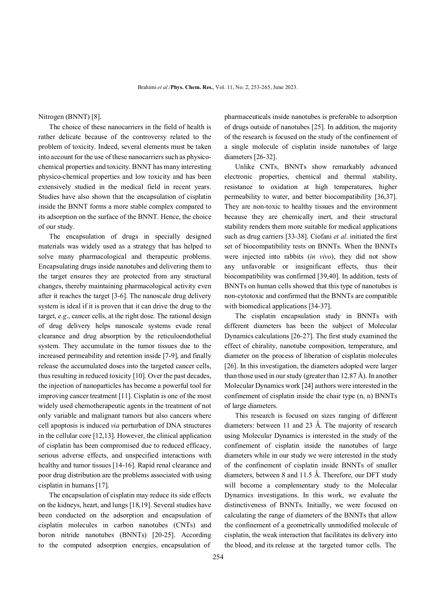Nitrogen (BNNT) [8].

 The choice of these nanocarriers in the field of health is rather delicate because of the controversy related to the problem of toxicity. Indeed, several elements must be taken into account for the use of these nanocarriers such as physicochemical properties and toxicity. BNNT has many interesting physico-chemical properties and low toxicity and has been extensively studied in the medical field in recent years. Studies have also shown that the encapsulation of cisplatin inside the BNNT forms a more stable complex compared to its adsorption on the surface of the BNNT. Hence, the choice of our study.

 The encapsulation of drugs in specially designed materials was widely used as a strategy that has helped to solve many pharmacological and therapeutic problems. Encapsulating drugs inside nanotubes and delivering them to the target ensures they are protected from any structural changes, thereby maintaining pharmacological activity even after it reaches the target [3-6]. The nanoscale drug delivery system is ideal if it is proven that it can drive the drug to the target, *e.g*., cancer cells, at the right dose. The rational design of drug delivery helps nanoscale systems evade renal clearance and drug absorption by the reticuloendothelial system. They accumulate in the tumor tissues due to the increased permeability and retention inside [7-9], and finally release the accumulated doses into the targeted cancer cells, thus resulting in reduced toxicity [10]. Over the past decades, the injection of nanoparticles has become a powerful tool for improving cancer treatment [11]. Cisplatin is one of the most widely used chemotherapeutic agents in the treatment of not only variable and malignant tumors but also cancers where cell apoptosis is induced *via* perturbation of DNA structures in the cellular core [12,13]. However, the clinical application of cisplatin has been compromised due to reduced efficacy, serious adverse effects, and unspecified interactions with healthy and tumor tissues [14-16]. Rapid renal clearance and poor drug distribution are the problems associated with using cisplatin in humans [17].

 The encapsulation of cisplatin may reduce its side effects on the kidneys, heart, and lungs [18,19]. Several studies have been conducted on the adsorption and encapsulation of cisplatin molecules in carbon nanotubes (CNTs) and boron nitride nanotubes (BNNTs) [20-25]. According to the computed adsorption energies, encapsulation of

pharmaceuticals inside nanotubes is preferable to adsorption of drugs outside of nanotubes [25]. In addition, the majority of the research is focused on the study of the confinement of a single molecule of cisplatin inside nanotubes of large diameters [26-32].

 Unlike CNTs, BNNTs show remarkably advanced electronic properties, chemical and thermal stability, resistance to oxidation at high temperatures, higher permeability to water, and better biocompatibility [36,37]. They are non-toxic to healthy tissues and the environment because they are chemically inert, and their structural stability renders them more suitable for medical applications such as drug carriers [33-38]. Ciofani *et al*. initiated the first set of biocompatibility tests on BNNTs. When the BNNTs were injected into rabbits (*in vivo*), they did not show any unfavorable or insignificant effects, thus their biocompatibility was confirmed [39,40]. In addition, tests of BNNTs on human cells showed that this type of nanotubes is non-cytotoxic and confirmed that the BNNTs are compatible with biomedical applications [34-37].

 The cisplatin encapsulation study in BNNTs with different diameters has been the subject of Molecular Dynamics calculations [26-27]. The first study examined the effect of chirality, nanotube composition, temperature, and diameter on the process of liberation of cisplatin molecules [26]. In this investigation, the diameters adopted were larger than those used in our study (greater than 12.87 Å). In another Molecular Dynamics work [24] authors were interested in the confinement of cisplatin inside the chair type (n, n) BNNTs of large diameters.

 This research is focused on sizes ranging of different diameters: between 11 and 23 Å. The majority of research using Molecular Dynamics is interested in the study of the confinement of cisplatin inside the nanotubes of large diameters while in our study we were interested in the study of the confinement of cisplatin inside BNNTs of smaller diameters, between 8 and 11.5 Å. Therefore, our DFT study will become a complementary study to the Molecular Dynamics investigations. In this work, we evaluate the distinctiveness of BNNTs. Initially, we were focused on calculating the range of diameters of the BNNTs that allow the confinement of a geometrically unmodified molecule of cisplatin, the weak interaction that facilitates its delivery into the blood, and its release at the targeted tumor cells. The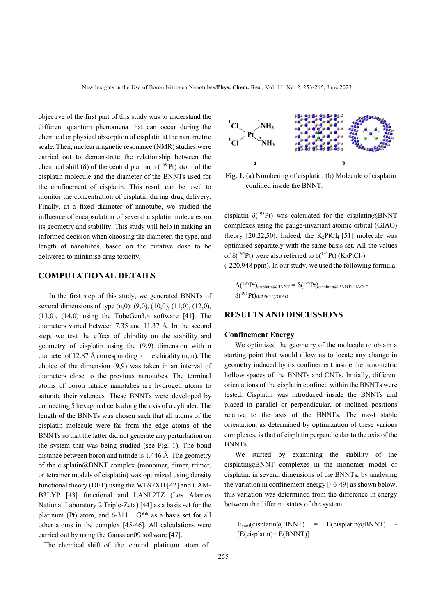objective of the first part of this study was to understand the different quantum phenomena that can occur during the chemical or physical absorption of cisplatin at the nanometric scale. Then, nuclear magnetic resonance (NMR) studies were carried out to demonstrate the relationship between the chemical shift ( $\delta$ ) of the central platinum ( $^{195}$  Pt) atom of the cisplatin molecule and the diameter of the BNNTs used for the confinement of cisplatin. This result can be used to monitor the concentration of cisplatin during drug delivery. Finally, at a fixed diameter of nanotube, we studied the influence of encapsulation of several cisplatin molecules on its geometry and stability. This study will help in making an informed decision when choosing the diameter, the type, and length of nanotubes, based on the curative dose to be delivered to minimise drug toxicity.

## **COMPUTATIONAL DETAILS**

 In the first step of this study, we generated BNNTs of several dimensions of type  $(n,0)$ :  $(9,0)$ ,  $(10,0)$ ,  $(11,0)$ ,  $(12,0)$ ,  $(13,0)$ ,  $(14,0)$  using the TubeGen3.4 software [41]. The diameters varied between 7.35 and 11.37 Å. In the second step, we test the effect of chirality on the stability and geometry of cisplatin using the (9,9) dimension with a diameter of 12.87 Å corresponding to the chirality (n, n). The choice of the dimension (9,9) was taken in an interval of diameters close to the previous nanotubes. The terminal atoms of boron nitride nanotubes are hydrogen atoms to saturate their valences. These BNNTs were developed by connecting 5 hexagonal cells along the axis of a cylinder. The length of the BNNTs was chosen such that all atoms of the cisplatin molecule were far from the edge atoms of the BNNTs so that the latter did not generate any perturbation on the system that was being studied (see Fig. 1). The bond distance between boron and nitride is 1.446 Å. The geometry of the cisplatin@BNNT complex (monomer, dimer, trimer, or tetramer models of cisplatin) was optimized using density functional theory (DFT) using the WB97XD [42] and CAM-B3LYP [43] functional and LANL2TZ (Los Alamos National Laboratory 2 Triple-Zeta) [44] as a basis set for the platinum (Pt) atom, and  $6-311++G^{**}$  as a basis set for all other atoms in the complex [45-46]. All calculations were carried out by using the Gaussian09 software [47].

The chemical shift of the central platinum atom of



**Fig. 1.** (a) Numbering of cisplatin; (b) Molecule of cisplatin confined inside the BNNT.

cisplatin  $\delta(^{195}Pt)$  was calculated for the cisplatin@BNNT complexes using the gauge-invariant atomic orbital (GIAO) theory  $[20,22,50]$ . Indeed, the K<sub>2</sub>PtCl<sub>4</sub> [51] molecule was optimised separately with the same basis set. All the values of  $\delta(^{195}Pt)$  were also referred to  $\delta(^{195}Pt)$  (K<sub>2</sub>PtCl<sub>4</sub>)

(-220.948 ppm). In our study, we used the following formula:

 $\Delta({}^{195}Pt)_{\text{cisplatin}\text{(}\partial B\text{NNT}} = \delta({}^{195}Pt)_{\text{cisplatin}\text{(}\partial B\text{NNT/GIAO}}$  - $\delta(^{195}Pt)$ (K2PtCl4)/GIAO

## **RESULTS AND DISCUSSIONS**

### **Confinement Energy**

 We optimized the geometry of the molecule to obtain a starting point that would allow us to locate any change in geometry induced by its confinement inside the nanometric hollow spaces of the BNNTs and CNTs. Initially, different orientations of the cisplatin confined within the BNNTs were tested. Cisplatin was introduced inside the BNNTs and placed in parallel or perpendicular, or inclined positions relative to the axis of the BNNTs. The most stable orientation, as determined by optimization of these various complexes, is that of cisplatin perpendicular to the axis of the BNNTs.

We started by examining the stability of the cisplatin@BNNT complexes in the monomer model of cisplatin, in several dimensions of the BNNTs, by analysing the variation in confinement energy [46-49] as shown below, this variation was determined from the difference in energy between the different states of the system.

```
E_{conf}(cisplatin@BNNT) = E(cisplatin@BNNT)[E(cisplatin)+ E(BNNT)]
```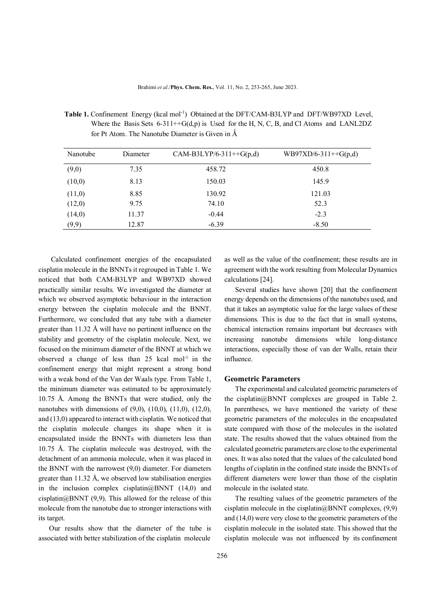| Nanotube | Diameter | CAM-B3LYP/6-311++G(p,d) | $WB97XD/6-311++G(p,d)$ |  |  |  |
|----------|----------|-------------------------|------------------------|--|--|--|
| (9,0)    | 7.35     | 458.72                  | 450.8                  |  |  |  |
| (10,0)   | 8.13     | 150.03                  | 145.9                  |  |  |  |
| (11,0)   | 8.85     | 130.92                  | 121.03                 |  |  |  |
| (12,0)   | 9.75     | 74.10                   | 52.3                   |  |  |  |
| (14,0)   | 11.37    | $-0.44$                 | $-2.3$                 |  |  |  |
| (9,9)    | 12.87    | $-6.39$                 | $-8.50$                |  |  |  |

Table 1. Confinement Energy (kcal mol<sup>-1</sup>) Obtained at the DFT/CAM-B3LYP and DFT/WB97XD Level, Where the Basis Sets  $6-311++G(d,p)$  is Used for the H, N, C, B, and Cl Atoms and LANL2DZ for Pt Atom. The Nanotube Diameter is Given in  $\AA$ 

 Calculated confinement energies of the encapsulated cisplatin molecule in the BNNTs it regrouped in Table 1. We noticed that both CAM-B3LYP and WB97XD showed practically similar results. We investigated the diameter at which we observed asymptotic behaviour in the interaction energy between the cisplatin molecule and the BNNT. Furthermore, we concluded that any tube with a diameter greater than 11.32 Å will have no pertinent influence on the stability and geometry of the cisplatin molecule. Next, we focused on the minimum diameter of the BNNT at which we observed a change of less than  $25$  kcal mol<sup>-1</sup> in the confinement energy that might represent a strong bond with a weak bond of the Van der Waals type. From Table 1, the minimum diameter was estimated to be approximately 10.75 Å. Among the BNNTs that were studied, only the nanotubes with dimensions of (9,0), (10,0), (11,0), (12,0), and (13,0) appeared to interact with cisplatin. We noticed that the cisplatin molecule changes its shape when it is encapsulated inside the BNNTs with diameters less than 10.75 Å. The cisplatin molecule was destroyed, with the detachment of an ammonia molecule, when it was placed in the BNNT with the narrowest (9,0) diameter. For diameters greater than 11.32 Å, we observed low stabilisation energies in the inclusion complex cisplatin $(a)$ BNNT (14,0) and cisplatin@BNNT  $(9,9)$ . This allowed for the release of this molecule from the nanotube due to stronger interactions with its target.

 Our results show that the diameter of the tube is associated with better stabilization of the cisplatin molecule

as well as the value of the confinement; these results are in agreement with the work resulting from Molecular Dynamics calculations [24].

 Several studies have shown [20] that the confinement energy depends on the dimensions of the nanotubes used, and that it takes an asymptotic value for the large values of these dimensions. This is due to the fact that in small systems, chemical interaction remains important but decreases with increasing nanotube dimensions while long-distance interactions, especially those of van der Walls, retain their influence.

### **Geometric Parameters**

 The experimental and calculated geometric parameters of the cisplatin@BNNT complexes are grouped in Table 2. In parentheses, we have mentioned the variety of these geometric parameters of the molecules in the encapsulated state compared with those of the molecules in the isolated state. The results showed that the values obtained from the calculated geometric parameters are close to the experimental ones. It was also noted that the values of the calculated bond lengths of cisplatin in the confined state inside the BNNTs of different diameters were lower than those of the cisplatin molecule in the isolated state.

 The resulting values of the geometric parameters of the cisplatin molecule in the cisplatin $@BNNT$  complexes, (9,9) and (14,0) were very close to the geometric parameters of the cisplatin molecule in the isolated state. This showed that the cisplatin molecule was not influenced by its confinement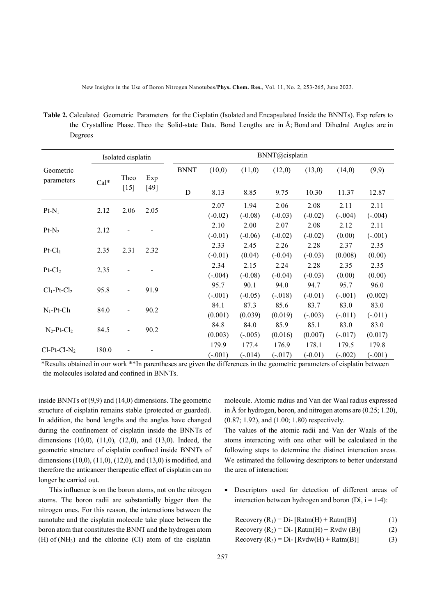New Insights in the Use of Boron Nitrogen Nanotubes/**Phys. Chem. Res.**, Vol. 11, No. 2, 253-265, June 2023.

**Table 2.** Calculated Geometric Parameters for the Cisplatin (Isolated and Encapsulated Inside the BNNTs). Exp refers to the Crystalline Phase. Theo the Solid-state Data. Bond Lengths are in Å; Bond and Dihedral Angles are in Degrees

|                           | Isolated cisplatin |                              | BNNT@cisplatin |             |           |           |           |           |           |           |
|---------------------------|--------------------|------------------------------|----------------|-------------|-----------|-----------|-----------|-----------|-----------|-----------|
| Geometric<br>parameters   | Cal*               | Theo<br>$[15]$               | Exp<br>$[49]$  | <b>BNNT</b> | (10,0)    | (11,0)    | (12,0)    | (13,0)    | (14,0)    | (9,9)     |
|                           |                    |                              |                | $\mathbf D$ | 8.13      | 8.85      | 9.75      | 10.30     | 11.37     | 12.87     |
| $Pt-N_1$                  |                    | 2.06                         | 2.05           |             | 2.07      | 1.94      | 2.06      | 2.08      | 2.11      | 2.11      |
|                           | 2.12               |                              |                |             | $(-0.02)$ | $(-0.08)$ | $(-0.03)$ | $(-0.02)$ | $(-.004)$ | $(-.004)$ |
| $Pt-N_2$                  | 2.12               |                              |                |             | 2.10      | 2.00      | 2.07      | 2.08      | 2.12      | 2.11      |
|                           |                    |                              |                |             | $(-0.01)$ | $(-0.06)$ | $(-0.02)$ | $(-0.02)$ | (0.00)    | $(-.001)$ |
| $Pt-Cl1$                  | 2.35               | 2.31                         | 2.32           |             | 2.33      | 2.45      | 2.26      | 2.28      | 2.37      | 2.35      |
|                           |                    |                              |                |             | $(-0.01)$ | (0.04)    | $(-0.04)$ | $(-0.03)$ | (0.008)   | (0.00)    |
| $Pt$ - $Cl2$              |                    |                              |                |             | 2.34      | 2.15      | 2.24      | 2.28      | 2.35      | 2.35      |
|                           | 2.35               |                              |                |             | $(-.004)$ | $(-0.08)$ | $(-0.04)$ | $(-0.03)$ | (0.00)    | (0.00)    |
| $Cl_1$ -Pt- $Cl_2$        | 95.8               |                              | 91.9           |             | 95.7      | 90.1      | 94.0      | 94.7      | 95.7      | 96.0      |
|                           |                    |                              |                |             | $(-.001)$ | $(-0.05)$ | $(-.018)$ | $(-0.01)$ | $(-.001)$ | (0.002)   |
| $N_1$ -Pt-Cl <sub>1</sub> |                    | $\blacksquare$               | 90.2           |             | 84.1      | 87.3      | 85.6      | 83.7      | 83.0      | 83.0      |
|                           | 84.0               |                              |                |             | (0.001)   | (0.039)   | (0.019)   | $(-.003)$ | $(-.011)$ | $(-.011)$ |
| $N_2-Pt-Cl_2$             |                    | $\qquad \qquad \blacksquare$ | 90.2           |             | 84.8      | 84.0      | 85.9      | 85.1      | 83.0      | 83.0      |
|                           | 84.5               |                              |                |             | (0.003)   | $(-.005)$ | (0.016)   | (0.007)   | $(-.017)$ | (0.017)   |
|                           |                    |                              |                |             | 179.9     | 177.4     | 176.9     | 178.1     | 179.5     | 179.8     |
| $Cl-Pt-Cl-N2$             | 180.0              |                              |                |             | $(-.001)$ | $(-.014)$ | $(-.017)$ | $(-0.01)$ | $(-.002)$ | $(-.001)$ |

\*Results obtained in our work \*\*In parentheses are given the differences in the geometric parameters of cisplatin between the molecules isolated and confined in BNNTs.

inside BNNTs of (9,9) and (14,0) dimensions. The geometric structure of cisplatin remains stable (protected or guarded). In addition, the bond lengths and the angles have changed during the confinement of cisplatin inside the BNNTs of dimensions (10,0), (11,0), (12,0), and (13,0). Indeed, the geometric structure of cisplatin confined inside BNNTs of dimensions (10,0), (11,0), (12,0), and (13,0) is modified, and therefore the anticancer therapeutic effect of cisplatin can no longer be carried out.

 This influence is on the boron atoms, not on the nitrogen atoms. The boron radii are substantially bigger than the nitrogen ones. For this reason, the interactions between the nanotube and the cisplatin molecule take place between the boron atom that constitutes the BNNT and the hydrogen atom  $(H)$  of  $(NH_3)$  and the chlorine  $(Cl)$  atom of the cisplatin

molecule. Atomic radius and Van der Waal radius expressed in Å for hydrogen, boron, and nitrogen atoms are (0.25; 1.20), (0.87; 1.92), and (1.00; 1.80) respectively.

The values of the atomic radii and Van der Waals of the atoms interacting with one other will be calculated in the following steps to determine the distinct interaction areas. We estimated the following descriptors to better understand the area of interaction:

- Descriptors used for detection of different areas of interaction between hydrogen and boron (Di,  $i = 1-4$ ):
	- Recovery  $(R_1) = Di [Ratm(H) + Ratm(B)]$  (1)
	- Recovery  $(R_2) = Di [Ratm(H) + Rvdw(B)]$  (2)
	- $Recovery (R<sub>3</sub>) = Di [Rvdw(H) + Ratm(B)]$  (3)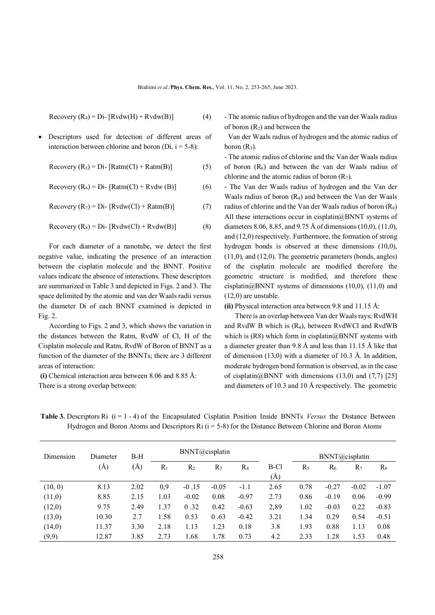$$
Recovery (R4) = Di - [Rvdw(H) + Rvdw(B)] \tag{4}
$$

 Descriptors used for detection of different areas of interaction between chlorine and boron (Di,  $i = 5-8$ ):

 $Recovery (R<sub>5</sub>) = Di- [Ratm(Cl) + Ratm(B)]$  (5)

$$
Recovery (R6) = Di- [Ratm(Cl) + Rvdw (B)]
$$
 (6)

 $Recovery (R_7) = Di - [Rvdw(Cl) + Ratm(B)]$  (7)

 $Recovery (R_8) = Di - [Rvdw(Cl) + Rvdw(B)]$  (8)

 For each diameter of a nanotube, we detect the first negative value, indicating the presence of an interaction between the cisplatin molecule and the BNNT. Positive values indicate the absence of interactions. These descriptors are summarized in Table 3 and depicted in Figs. 2 and 3. The space delimited by the atomic and van der Waals radii versus the diameter Di of each BNNT examined is depicted in Fig. 2.

 According to Figs. 2 and 3, which shows the variation in the distances between the Ratm, RvdW of Cl, H of the Cisplatin molecule and Ratm, RvdW of Boron of BNNT as a function of the diameter of the BNNTs; there are 3 different areas of interaction:

**(i)** Chemical interaction area between 8.06 and 8.85 Å: There is a strong overlap between:

- The atomic radius of hydrogen and the van der Waals radius of boron  $(R_2)$  and between the

 Van der Waals radius of hydrogen and the atomic radius of boron  $(R_3)$ .

- The atomic radius of chlorine and the Van der Waals radius of boron  $(R<sub>6</sub>)$  and between the van der Waals radius of chlorine and the atomic radius of boron  $(R<sub>7</sub>)$ .

- The Van der Waals radius of hydrogen and the Van der Waals radius of boron  $(R_4)$  and between the Van der Waals radius of chlorine and the Van der Waals radius of boron  $(R_8)$ All these interactions occur in cisplatin $@$ BNNT systems of diameters 8.06, 8.85, and 9.75 Å of dimensions (10,0), (11,0), and (12,0) respectively. Furthermore, the formation of strong hydrogen bonds is observed at these dimensions (10,0), (11,0), and (12,0). The geometric parameters (bonds, angles) of the cisplatin molecule are modified therefore the geometric structure is modified, and therefore these cisplatin $@BNNT$  systems of dimensions (10,0), (11,0) and (12,0) are unstable.

**(ii)** Physical interaction area between 9.8 and 11.15 Å:

 There is an overlap between Van der Waals rays; RvdWH and RvdW B which is (R4), between RvdWCl and RvdWB which is (R8) which form in cisplatin $@BNNT$  systems with a diameter greater than 9.8 Å and less than 11.15 Å like that of dimension (13,0) with a diameter of 10.3 Å. In addition, moderate hydrogen bond formation is observed, as in the case of cisplatin@BNNT with dimensions  $(13,0)$  and  $(7,7)$  [25] and diameters of 10.3 and 10 Å respectively. The geometric

**Table 3.** Descriptors Ri (i = 1 - 4) of the Encapsulated Cisplatin Position Inside BNNTs *Versus* the Distance Between Hydrogen and Boron Atoms and Descriptors Ri  $(i = 5-8)$  for the Distance Between Chlorine and Boron Atoms

| Dimension | Diameter | $B-H$      | BNNT@cisplatin |                |         |         |             |       | BNNT@cisplatin |         |         |
|-----------|----------|------------|----------------|----------------|---------|---------|-------------|-------|----------------|---------|---------|
|           | (Å)      | $\rm(\AA)$ | $R_1$          | R <sub>2</sub> | $R_3$   | $R_4$   | B-Cl<br>(Å) | $R_5$ | $R_6$          | $R_7$   | $R_8$   |
| (10, 0)   | 8.13     | 2.02       | 0,9            | $-0.15$        | $-0.05$ | -1.1    | 2.65        | 0.78  | $-0.27$        | $-0.02$ | $-1.07$ |
| (11,0)    | 8.85     | 2.15       | 1.03           | $-0.02$        | 0.08    | $-0.97$ | 2.73        | 0.86  | $-0.19$        | 0.06    | $-0.99$ |
| (12,0)    | 9.75     | 2.49       | 1.37           | 0.32           | 0.42    | $-0.63$ | 2,89        | 1.02  | $-0.03$        | 0.22    | $-0.83$ |
| (13,0)    | 10.30    | 2.7        | 1.58           | 0.53           | 0.63    | $-0.42$ | 3.21        | 1.34  | 0.29           | 0.54    | $-0.51$ |
| (14,0)    | 11.37    | 3.30       | 2.18           | 1.13           | 1.23    | 0.18    | 3.8         | 1.93  | 0.88           | 1.13    | 0.08    |
| (9,9)     | 12.87    | 3.85       | 2.73           | 1.68           | 1.78    | 0.73    | 4.2         | 2.33  | 1.28           | 1.53    | 0.48    |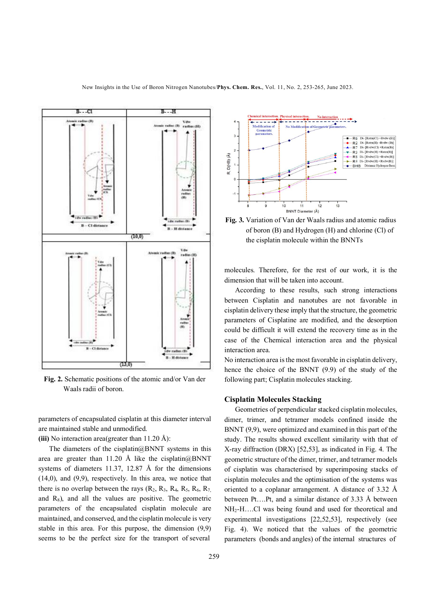

**Fig. 2.** Schematic positions of the atomic and/or Van der Waals radii of boron.

parameters of encapsulated cisplatin at this diameter interval are maintained stable and unmodified.

**(iii)** No interaction area(greater than 11.20 Å):

The diameters of the cisplatin $@BNNT$  systems in this area are greater than 11.20 Å like the cisplatin $@$ BNNT systems of diameters 11.37, 12.87 Å for the dimensions (14,0), and (9,9), respectively. In this area, we notice that there is no overlap between the rays  $(R_2, R_3, R_4, R_5, R_6, R_7)$ and  $R_8$ ), and all the values are positive. The geometric parameters of the encapsulated cisplatin molecule are maintained, and conserved, and the cisplatin molecule is very stable in this area. For this purpose, the dimension (9,9) seems to be the perfect size for the transport of several



**Fig. 3.** Variation of Van der Waals radius and atomic radius of boron (B) and Hydrogen (H) and chlorine (Cl) of the cisplatin molecule within the BNNTs

molecules. Therefore, for the rest of our work, it is the dimension that will be taken into account.

 According to these results, such strong interactions between Cisplatin and nanotubes are not favorable in cisplatin delivery these imply that the structure, the geometric parameters of Cisplatine are modified, and the desorption could be difficult it will extend the recovery time as in the case of the Chemical interaction area and the physical interaction area.

No interaction area is the most favorable in cisplatin delivery, hence the choice of the BNNT (9.9) of the study of the following part; Cisplatin molecules stacking.

#### **Cisplatin Molecules Stacking**

 Geometries of perpendicular stacked cisplatin molecules, dimer, trimer, and tetramer models confined inside the BNNT (9,9), were optimized and examined in this part of the study. The results showed excellent similarity with that of X-ray diffraction (DRX) [52,53], as indicated in Fig. 4. The geometric structure of the dimer, trimer, and tetramer models of cisplatin was characterised by superimposing stacks of cisplatin molecules and the optimisation of the systems was oriented to a coplanar arrangement. A distance of 3.32 Å between Pt….Pt, and a similar distance of 3.33 Å between NH2-H….Cl was being found and used for theoretical and experimental investigations [22,52,53], respectively (see Fig. 4). We noticed that the values of the geometric parameters (bonds and angles) of the internal structures of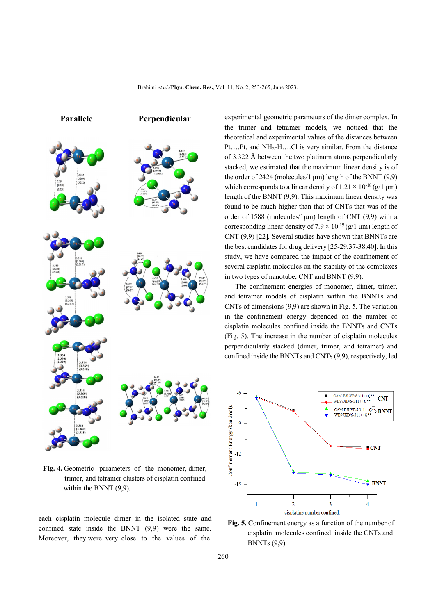



**Fig. 4.** Geometric parameters of the monomer, dimer, trimer, and tetramer clusters of cisplatin confined within the BNNT (9,9).

each cisplatin molecule dimer in the isolated state and confined state inside the BNNT (9,9) were the same. Moreover, they were very close to the values of the

experimental geometric parameters of the dimer complex. In the trimer and tetramer models, we noticed that the theoretical and experimental values of the distances between Pt….Pt, and NH2-H….Cl is very similar. From the distance of 3.322 Å between the two platinum atoms perpendicularly stacked, we estimated that the maximum linear density is of the order of 2424 (molecules/1 μm) length of the BNNT (9,9) which corresponds to a linear density of  $1.21 \times 10^{-18}$  (g/1 µm) length of the BNNT (9,9). This maximum linear density was found to be much higher than that of CNTs that was of the order of 1588 (molecules/1 $\mu$ m) length of CNT (9,9) with a corresponding linear density of  $7.9 \times 10^{-19}$  (g/1 µm) length of CNT (9,9) [22]. Several studies have shown that BNNTs are the best candidates for drug delivery [25-29,37-38,40]. In this study, we have compared the impact of the confinement of several cisplatin molecules on the stability of the complexes in two types of nanotube, CNT and BNNT (9,9).

 The confinement energies of monomer, dimer, trimer, and tetramer models of cisplatin within the BNNTs and CNTs of dimensions (9,9) are shown in Fig. 5. The variation in the confinement energy depended on the number of cisplatin molecules confined inside the BNNTs and CNTs (Fig. 5). The increase in the number of cisplatin molecules perpendicularly stacked (dimer, trimer, and tetramer) and confined inside the BNNTs and CNTs (9,9), respectively, led



**Fig. 5.** Confinement energy as a function of the number of cisplatin molecules confined inside the CNTs and BNNTs (9,9).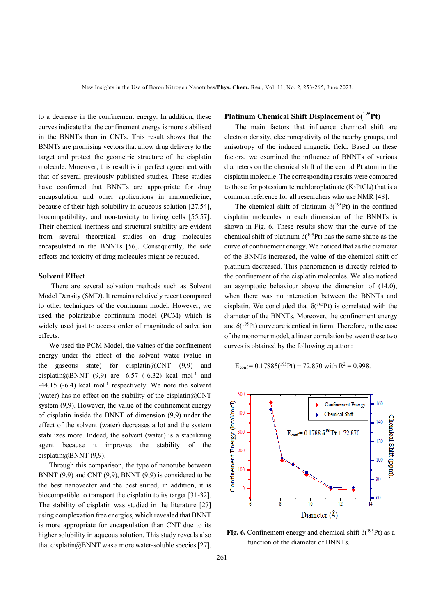to a decrease in the confinement energy. In addition, these curves indicate that the confinement energy is more stabilised in the BNNTs than in CNTs. This result shows that the BNNTs are promising vectors that allow drug delivery to the target and protect the geometric structure of the cisplatin molecule. Moreover, this result is in perfect agreement with that of several previously published studies. These studies have confirmed that BNNTs are appropriate for drug encapsulation and other applications in nanomedicine; because of their high solubility in aqueous solution [27,54], biocompatibility, and non-toxicity to living cells [55,57]. Their chemical inertness and structural stability are evident from several theoretical studies on drug molecules encapsulated in the BNNTs [56]. Consequently, the side effects and toxicity of drug molecules might be reduced.

### **Solvent Effect**

There are several solvation methods such as Solvent Model Density (SMD). It remains relatively recent compared to other techniques of the continuum model. However, we used the polarizable continuum model (PCM) which is widely used just to access order of magnitude of solvation effects.

 We used the PCM Model, the values of the confinement energy under the effect of the solvent water (value in the gaseous state) for cisplatin $@CNT (9,9)$  and cisplatin@BNNT  $(9,9)$  are -6.57 (-6.32) kcal mol<sup>-1</sup> and  $-44.15$  ( $-6.4$ ) kcal mol<sup>-1</sup> respectively. We note the solvent (water) has no effect on the stability of the cisplatin $@CNT$ system (9,9). However, the value of the confinement energy of cisplatin inside the BNNT of dimension (9,9) under the effect of the solvent (water) decreases a lot and the system stabilizes more. Indeed, the solvent (water) is a stabilizing agent because it improves the stability of the cisplatin@BNNT (9,9).

 Through this comparison, the type of nanotube between BNNT  $(9,9)$  and CNT  $(9,9)$ , BNNT  $(9,9)$  is considered to be the best nanovector and the best suited; in addition, it is biocompatible to transport the cisplatin to its target [31-32]. The stability of cisplatin was studied in the literature [27] using complexation free energies, which revealed that BNNT is more appropriate for encapsulation than CNT due to its higher solubility in aqueous solution. This study reveals also that cisplatin@BNNT was a more water-soluble species [27].

### **Platinum Chemical Shift Displacement δ(<sup>195</sup>Pt)**

 The main factors that influence chemical shift are electron density, electronegativity of the nearby groups, and anisotropy of the induced magnetic field. Based on these factors, we examined the influence of BNNTs of various diameters on the chemical shift of the central Pt atom in the cisplatin molecule. The corresponding results were compared to those for potassium tetrachloroplatinate  $(K_2PtCl_4)$  that is a common reference for all researchers who use NMR [48].

The chemical shift of platinum  $\delta(^{195}Pt)$  in the confined cisplatin molecules in each dimension of the BNNTs is shown in Fig. 6. These results show that the curve of the chemical shift of platinum  $\delta$ <sup>(195</sup>Pt) has the same shape as the curve of confinement energy. We noticed that as the diameter of the BNNTs increased, the value of the chemical shift of platinum decreased. This phenomenon is directly related to the confinement of the cisplatin molecules. We also noticed an asymptotic behaviour above the dimension of (14,0), when there was no interaction between the BNNTs and cisplatin. We concluded that  $\delta(^{195}Pt)$  is correlated with the diameter of the BNNTs. Moreover, the confinement energy and  $\delta^{(195)}$ Pt) curve are identical in form. Therefore, in the case of the monomer model, a linear correlation between these two curves is obtained by the following equation:

$$
E_{\text{conf}} = 0.1788\delta(^{195}\text{Pt}) + 72.870
$$
 with  $R^2 = 0.998$ .



**Fig. 6.** Confinement energy and chemical shift  $\delta(^{195}Pt)$  as a function of the diameter of BNNTs.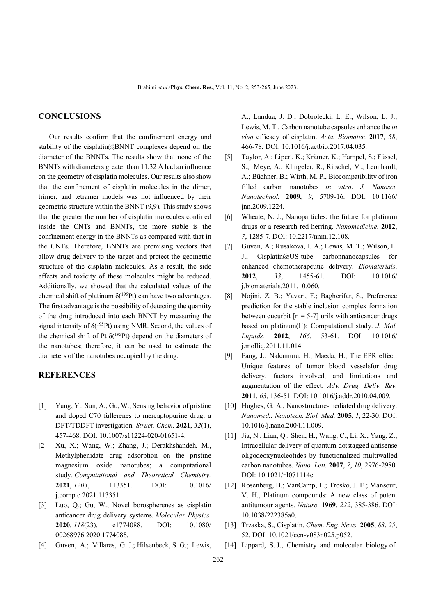## **CONCLUSIONS**

 Our results confirm that the confinement energy and stability of the cisplatin@BNNT complexes depend on the diameter of the BNNTs. The results show that none of the BNNTs with diameters greater than 11.32 Å had an influence on the geometry of cisplatin molecules. Our results also show that the confinement of cisplatin molecules in the dimer, trimer, and tetramer models was not influenced by their geometric structure within the BNNT (9,9). This study shows that the greater the number of cisplatin molecules confined inside the CNTs and BNNTs, the more stable is the confinement energy in the BNNTs as compared with that in the CNTs. Therefore, BNNTs are promising vectors that allow drug delivery to the target and protect the geometric structure of the cisplatin molecules. As a result, the side effects and toxicity of these molecules might be reduced. Additionally, we showed that the calculated values of the chemical shift of platinum  $\delta(^{195}Pt)$  can have two advantages. The first advantage is the possibility of detecting the quantity of the drug introduced into each BNNT by measuring the signal intensity of  $\delta(^{195}Pt)$  using NMR. Second, the values of the chemical shift of Pt  $\delta(^{195}Pt)$  depend on the diameters of the nanotubes; therefore, it can be used to estimate the diameters of the nanotubes occupied by the drug.

### **REFERENCES**

- [1] Yang, Y.; Sun, A.; Gu, W., Sensing behavior of pristine and doped C70 fullerenes to mercaptopurine drug: a DFT/TDDFT investigation. *Struct. Chem.* **2021**, *32*(1), 457-468. DOI: 10.1007/s11224-020-01651-4.
- [2] Xu, X.; Wang, W.; Zhang, J.; Derakhshandeh, M., Methylphenidate drug adsorption on the pristine magnesium oxide nanotubes; a computational study. *Computational and Theoretical Chemistry.* **2021**, *1203*, 113351. DOI: 10.1016/ j.comptc.2021.113351
- [3] Luo, Q.; Gu, W., Novel borospherenes as cisplatin anticancer drug delivery systems. *Molecular Physics.*  **2020**, *118*(23), e1774088. DOI: 10.1080/ 00268976.2020.1774088.
- [4] Guven, A.; Villares, G. J.; Hilsenbeck, S. G.; Lewis,

A.; Landua, J. D.; Dobrolecki, L. E.; Wilson, L. J.; Lewis, M. T., Carbon nanotube capsules enhance the *in vivo* efficacy of cisplatin. *Acta. Biomater.* **2017**, *58*, 466-78. DOI: 10.1016/j.actbio.2017.04.035.

- [5] Taylor, A.; Lipert, K.; Krämer, K.; Hampel, S.; Füssel, S.; Meye, A.; Klingeler, R.; Ritschel, M.; Leonhardt, A.; Büchner, B.; Wirth, M. P., Biocompatibility of iron filled carbon nanotubes *in vitro*. *J. Nanosci. Nanotechnol.* **2009**, *9*, 5709-16. DOI: 10.1166/ jnn.2009.1224.
- [6] Wheate, N. J., Nanoparticles: the future for platinum drugs or a research red herring. *Nanomedicine*. **2012**, *7*, 1285-7. DOI: 10.2217/nnm.12.108.
- [7] Guven, A.; Rusakova, I. A.; Lewis, M. T.; Wilson, L. J., Cisplatin@US-tube carbonnanocapsules for enhanced chemotherapeutic delivery. *Biomaterials*. **2012**, *33*, 1455-61. DOI: 10.1016/ j.biomaterials.2011.10.060.
- [8] Nojini, Z. B.; Yavari, F.; Bagherifar, S., Preference prediction for the stable inclusion complex formation between cucurbit  $[n = 5-7]$  urils with anticancer drugs based on platinum(II): Computational study. *J. Mol. Liquids.* **2012**, *166*, 53-61. DOI: 10.1016/ j.molliq.2011.11.014.
- [9] Fang, J.; Nakamura, H.; Maeda, H., The EPR effect: Unique features of tumor blood vesselsfor drug delivery, factors involved, and limitations and augmentation of the effect. *Adv. Drug. Deliv. Rev.* **2011**, *63*, 136-51. DOI: 10.1016/j.addr.2010.04.009.
- [10] Hughes, G. A., Nanostructure-mediated drug delivery. *Nanomed.: Nanotech. Biol. Med.* **2005**, *1*, 22-30. DOI: 10.1016/j.nano.2004.11.009.
- [11] Jia, N.; Lian, Q.; Shen, H.; Wang, C.; Li, X.; Yang, Z., Intracellular delivery of quantum dotstagged antisense oligodeoxynucleotides by functionalized multiwalled carbon nanotubes. *Nano. Lett.* **2007**, *7*, *10*, 2976-2980. DOI: 10.1021/nl071114c.
- [12] Rosenberg, B.; VanCamp, L.; Trosko, J. E.; Mansour, V. H., Platinum compounds: A new class of potent antitumour agents. *Nature*. **1969**, *222*, 385-386. DOI: 10.1038/222385a0.
- [13] Trzaska, S., Cisplatin. *Chem. Eng. News.* **2005**, *83*, *25*, 52. DOI: 10.1021/cen-v083n025.p052.
- [14] Lippard, S. J., Chemistry and molecular biology of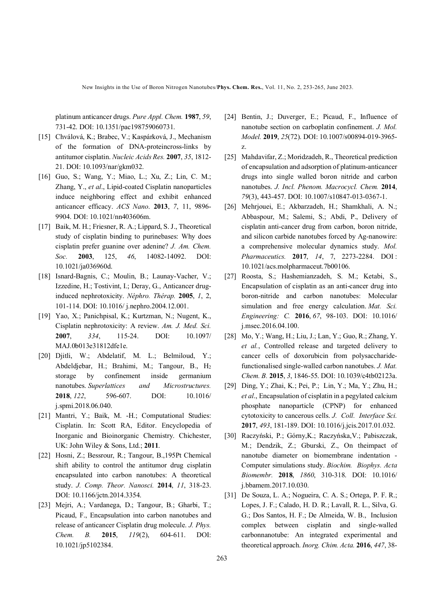New Insights in the Use of Boron Nitrogen Nanotubes/**Phys. Chem. Res.**, Vol. 11, No. 2, 253-265, June 2023.

platinum anticancer drugs. *Pure Appl. Chem.* **1987**, *59*, 731-42. DOI: 10.1351/pac198759060731.

- [15] Chválová, K.; Brabec, V.; Kaspárková, J., Mechanism of the formation of DNA-proteincross-links by antitumor cisplatin. *Nucleic Acids Res.* **2007**, *35*, 1812- 21. DOI: 10.1093/nar/gkm032.
- [16] Guo, S.; Wang, Y.; Miao, L.; Xu, Z.; Lin, C. M.; Zhang, Y., *et al*., Lipid-coated Cisplatin nanoparticles induce neighboring effect and exhibit enhanced anticancer efficacy. *ACS Nano*. **2013**, *7*, 11, 9896- 9904. DOI: 10.1021/nn403606m.
- [17] Baik, M. H.; Friesner, R. A.; Lippard, S. J., Theoretical study of cisplatin binding to purinebases: Why does cisplatin prefer guanine over adenine? *J. Am. Chem. Soc.* **2003**, 125, *46*, 14082-14092. DOI: 10.1021/ja036960d.
- [18] Isnard-Bagnis, C.; Moulin, B.; Launay-Vacher, V.; Izzedine, H.; Tostivint, I.; Deray, G., Anticancer druginduced nephrotoxicity. *Néphro. Thérap.* **2005**, *1*, 2, 101-114. DOI: 10.1016/ j.nephro.2004.12.001.
- [19] Yao, X.; Panichpisal, K.; Kurtzman, N.; Nugent, K., Cisplatin nephrotoxicity: A review. *Am. J. Med. Sci.*  **2007**, *334*, 115-24. DOI: 10.1097/ MAJ.0b013e31812dfe1e.
- [20] Djitli, W.; Abdelatif, M. L.; Belmiloud, Y.; Abdeldjebar, H.; Brahimi, M.; Tangour, B., H<sup>2</sup> storage by confinement inside germanium nanotubes. *Superlattices and Microstructures.*  **2018**, *122*, 596-607. DOI: 10.1016/ j.spmi.2018.06.040.
- [21] Mantri, Y.; Baik, M. -H.; Computational Studies: Cisplatin. In: Scott RA, Editor. Encyclopedia of Inorganic and Bioinorganic Chemistry. Chichester, UK: John Wiley & Sons, Ltd.; **2011**.
- [22] Hosni, Z.; Bessrour, R.; Tangour, B., 195Pt Chemical shift ability to control the antitumor drug cisplatin encapsulated into carbon nanotubes: A theoretical study. *J. Comp. Theor. Nanosci.* **2014**, *11*, 318-23. DOI: 10.1166/jctn.2014.3354.
- [23] Mejri, A.; Vardanega, D.; Tangour, B.; Gharbi, T.; Picaud, F., Encapsulation into carbon nanotubes and release of anticancer Cisplatin drug molecule. *J. Phys. Chem. B.* **2015**, *119*(2), 604-611. DOI: 10.1021/jp5102384.
- [24] Bentin, J.; Duverger, E.; Picaud, F., Influence of nanotube section on carboplatin confinement. *J. Mol. Model.* **2019**, *25*(72). DOI: 10.1007/s00894-019-3965 z.
- [25] Mahdavifar, Z.; Moridzadeh, R., Theoretical prediction of encapsulation and adsorption of platinum-anticancer drugs into single walled boron nitride and carbon nanotubes. *J. Incl. Phenom. Macrocycl. Chem.* **2014**, *79*(3), 443-457. DOI: 10.1007/s10847-013-0367-1.
- [26] Mehrjouei, E.; Akbarzadeh, H.; Shamkhali, A. N.; Abbaspour, M.; Salemi, S.; Abdi, P., Delivery of cisplatin anti-cancer drug from carbon, boron nitride, and silicon carbide nanotubes forced by Ag-nanowire: a comprehensive molecular dynamics study. *Mol. Pharmaceutics.* **2017**, *14*, 7, 2273-2284. DOI : 10.1021/acs.molpharmaceut.7b00106.
- [27] Roosta, S.; Hashemianzadeh, S. M.; Ketabi, S., Encapsulation of cisplatin as an anti-cancer drug into boron-nitride and carbon nanotubes: Molecular simulation and free energy calculation. *Mat. Sci. Engineering: C.* **2016**, *67*, 98-103. DOI: 10.1016/ j.msec.2016.04.100.
- [28] Mo, Y.; Wang, H.; Liu, J.; Lan, Y.; Guo, R.; Zhang, Y. *et al.*, Controlled release and targeted delivery to cancer cells of doxorubicin from polysaccharidefunctionalised single-walled carbon nanotubes. *J. Mat. Chem. B.* **2015**, *3*, 1846-55. DOI: 10.1039/c4tb02123a.
- [29] Ding, Y.; Zhai, K.; Pei, P.; Lin, Y.; Ma, Y.; Zhu, H.; *et al*., Encapsulation of cisplatin in a pegylated calcium phosphate nanoparticle (CPNP) for enhanced cytotoxicity to cancerous cells. *J. Coll. Interface Sci.* **2017**, *493*, 181-189. DOI: 10.1016/j.jcis.2017.01.032.
- [30] Raczyński, P.; Górny,K.; Raczyńska,V.; Pabiszczak, M.; Dendzik, Z.; Gburski, Z., On theimpact of nanotube diameter on biomembrane indentation - Computer simulations study. *Biochim. Biophys. Acta Biomembr.* **2018**, *1860*, 310-318. DOI: 10.1016/ j.bbamem.2017.10.030.
- [31] De Souza, L. A.; Nogueira, C. A. S.; Ortega, P. F. R.; Lopes, J. F.; Calado, H. D. R.; Lavall, R. L., Silva, G. G.; Dos Santos, H. F.; De Almeida, W. B., Inclusion complex between cisplatin and single-walled carbonnanotube: An integrated experimental and theoretical approach. *Inorg. Chim. Acta.* **2016**, *447*, 38-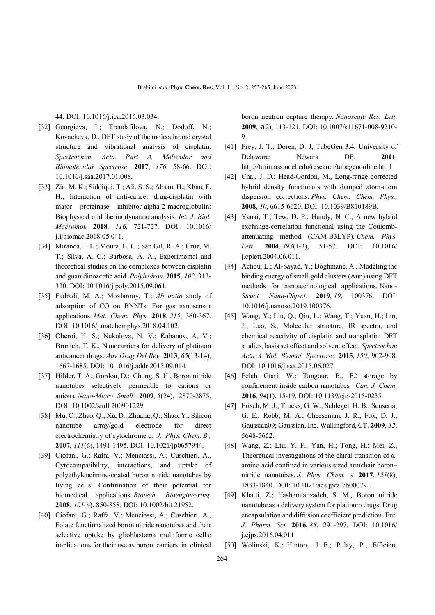44. DOI: 10.1016/j.ica.2016.03.034.

- [32] Georgieva, I.; Trendafilova, N.; Dodoff, N.; Kovacheva, D., DFT study of the molecularand crystal structure and vibrational analysis of cisplatin. *Spectrochim. Acta. Part A, Molecular and Biomolecular Spectrosc .***2017**, *176*, 58-66. DOI: 10.1016/j.saa.2017.01.008.
- [33] Zia, M. K.; Siddiqui, T.; Ali, S. S.; Ahsan, H.; Khan, F. H., Interaction of anti-cancer drug-cisplatin with major proteinase inhibitor-alpha-2-macroglobulin: Biophysical and thermodynamic analysis. *Int. J. Biol. Macromol.* **2018**, *116*, 721-727. DOI: 10.1016/ j.ijbiomac.2018.05.041.
- [34] Miranda, J. L.; Moura, L. C.; San Gil, R. A.; Cruz, M. T.; Silva, A. C.; Barbosa, Á. A., Experimental and theoretical studies on the complexes between cisplatin and guanidinoacetic acid. *Polyhedron.* **2015**, *102*, 313- 320. DOI: 10.1016/j.poly.2015.09.061.
- [35] Fadradi, M. A.; Movlarooy, T.; *Ab initio* study of adsorption of CO on BNNTs: For gas nanosensor applications. *Mat. Chem. Phys.* **2018**, *215*, 360-367. DOI: 10.1016/j.matchemphys.2018.04.102.
- [36] Oberoi, H. S.; Nukolova, N. V.; Kabanov, A. V.; Bronich, T. K., Nanocarriers for delivery of platinum anticancer drugs. *Adv Drug Del Rev.* **2013**, *65*(13-14), 1667-1685. DOI: 10.1016/j.addr.2013.09.014.
- [37] Hilder, T. A.; Gordon, D.; Chung, S. H., Boron nitride nanotubes selectively permeable to cations or anions. *Nano-Micro Small.* **2009**, *5*(24), 2870-2875. DOI: 10.1002/smll.200901229.
- [38] Mu, C.; Zhao, Q.; Xu, D.; Zhuang, Q.; Shao, Y., Silicon nanotube array/gold electrode for direct electrochemistry of cytochrome c. *J. Phys. Chem. B.,* **2007**, *111*(6), 1491-1495. DOI: 10.1021/jp0657944.
- [39] Ciofani, G.; Raffa, V.; Menciassi, A.; Cuschieri, A., Cytocompatibility, interactions, and uptake of polyethyleneimine‐coated boron nitride nanotubes by living cells: Confirmation of their potential for biomedical applications. *Biotech. Bioengineering.*  **2008**, *101*(4), 850-858. DOI: 10.1002/bit.21952.
- [40] Ciofani, G.; Raffa, V.; Menciassi, A.; Cuschieri, A., Folate functionalized boron nitride nanotubes and their selective uptake by glioblastoma multiforme cells: implications for their use as boron carriers in clinical

boron neutron capture therapy. *Nanoscale Res. Lett.* **2009**, *4*(2), 113-121. DOI: 10.1007/s11671-008-9210- 9.

- [41] Frey, J. T.; Doren, D. J, TubeGen 3.4; University of Delaware: Newark DE, **2011**. http://turin.nss.udel.edu/research/tubegenonline.html
- [42] Chai, J. D.; Head-Gordon, M., Long-range corrected hybrid density functionals with damped atom-atom dispersion corrections. *Phys. Chem. Chem. Phys.,* **2008**, *10*, 6615-6620. DOI: 10.1039/B810189B.
- [43] Yanai, T.; Tew, D. P.; Handy, N. C., A new hybrid exchange-correlation functional using the Coulombattenuating method (CAM-B3LYP). *Chem. Phys. Lett.* **2004**, *393*(1-3), 51-57. DOI: 10.1016/ j.cplett.2004.06.011.
- [44] Achou, L.; Al-Sayad, Y.; Doghmane, A., Modeling the binding energy of small gold clusters (Aun) using DFT methods for nanotechnological applications. Nano-*Struct. Nano-Object.* **2019**, *19*, 100376. DOI: 10.1016/j.nanoso.2019.100376.
- [45] Wang, Y.; Liu, Q.; Qiu, L.; Wang, T.; Yuan, H.; Lin, J.; Luo, S., Molecular structure, IR spectra, and chemical reactivity of cisplatin and transplatin: DFT studies, basis set effect and solvent effect. *Spectrochim Acta A Mol. Biomol. Spectrosc.* **2015**, *150*, 902-908. DOI: 10.1016/j.saa.2015.06.027.
- [46] Felah Gtari, W.; Tangour, B., F2 storage by confinement inside carbon nanotubes. *Can. J. Chem.* **2016**, *94*(1), 15-19. DOI: 10.1139/cjc-2015-0235.
- [47] Frisch, M. J.; Trucks, G. W.; Schlegel, H. B.; Scuseria, G. E.; Robb, M. A.; Cheeseman, J. R.; Fox, D. J., Gaussian09; Gaussian, Inc. Wallingford, CT. **2009**, *32*, 5648-5652.
- [48] Wang, Z.; Liu, Y. F.; Yan, H.; Tong, H.; Mei, Z., Theoretical investigations of the chiral transition of αamino acid confined in various sized armchair boron– nitride nanotubes. *J. Phys. Chem. A* **2017**, *121*(8), 1833-1840. DOI: 10.1021/acs.jpca.7b00079.
- [49] Khatti, Z.; Hashemianzadeh, S. M., Boron nitride nanotube as a delivery system for platinum drugs: Drug encapsulation and diffusion coefficient prediction. Eur. *J. Pharm. Sci.* **2016**, *88*, 291-297. DOI: 10.1016/ j.ejps.2016.04.011.
- [50] Wolinski, K.; Hinton, J. F.; Pulay, P., Efficient